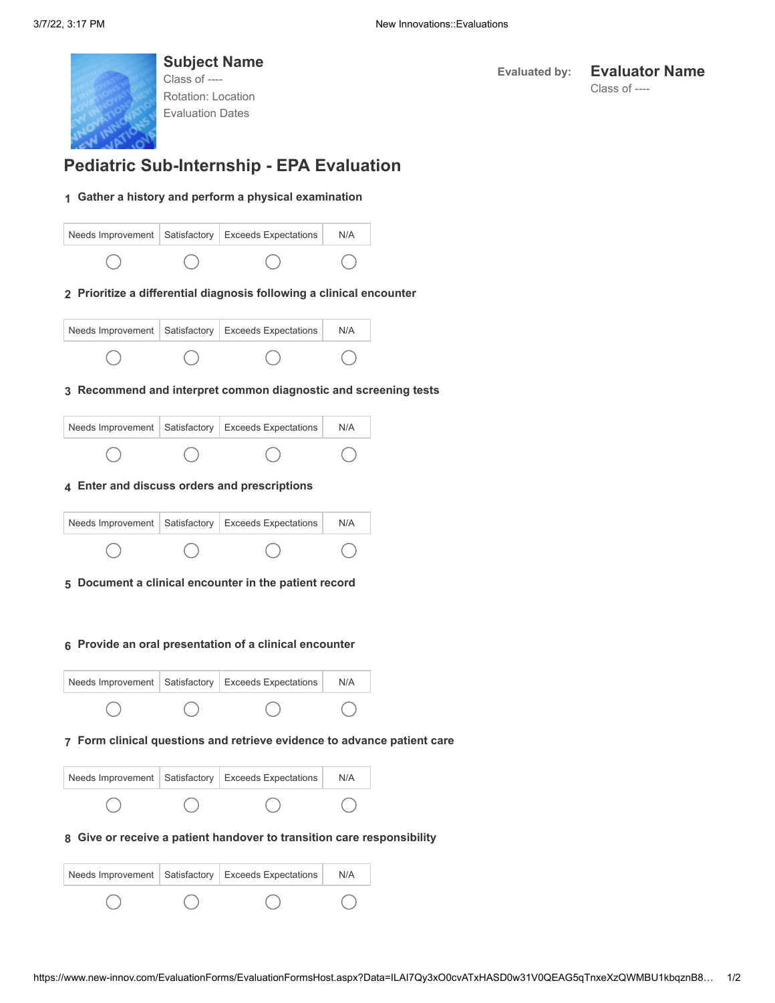

**Subject Name** Class of ---- Rotation: Location Evaluation Dates

## **Evaluated by: Evaluator Name**

Class of ----

# **Pediatric Sub-Internship - EPA Evaluation**

#### **1 Gather a history and perform a physical examination**



|  | Needs Improvement   Satisfactory   Exceeds Expectations | N/A |
|--|---------------------------------------------------------|-----|
|  |                                                         |     |

#### **3 Recommend and interpret common diagnostic and screening tests**

|  | Needs Improvement   Satisfactory   Exceeds Expectations | N/A |
|--|---------------------------------------------------------|-----|
|  |                                                         |     |

## **4 Enter and discuss orders and prescriptions**

|  | Needs Improvement   Satisfactory   Exceeds Expectations | N/A |
|--|---------------------------------------------------------|-----|
|  |                                                         |     |

#### **5 Document a clinical encounter in the patient record**

#### **6 Provide an oral presentation of a clinical encounter**

|  | Needs Improvement   Satisfactory   Exceeds Expectations | N/A |
|--|---------------------------------------------------------|-----|
|  |                                                         |     |

#### **7 Form clinical questions and retrieve evidence to advance patient care**

|  | Needs Improvement   Satisfactory   Exceeds Expectations | N/A |
|--|---------------------------------------------------------|-----|
|  |                                                         |     |

## **8 Give or receive a patient handover to transition care responsibility**

|  | Needs Improvement   Satisfactory   Exceeds Expectations | N/A |
|--|---------------------------------------------------------|-----|
|  |                                                         |     |